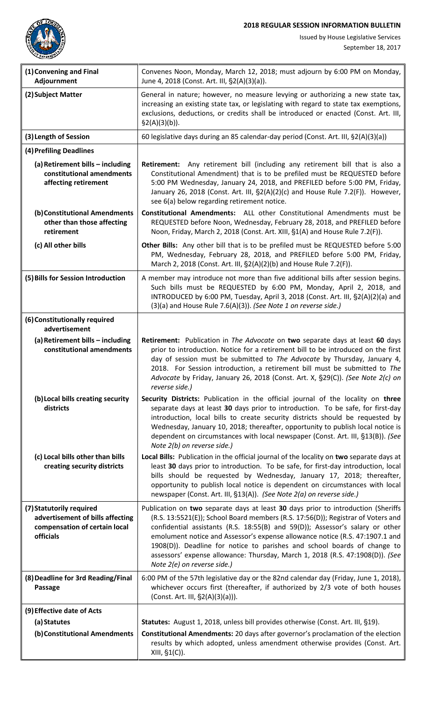**2018 REGULAR SESSION INFORMATION BULLETIN**



Issued by House Legislative Services

| (1) Convening and Final<br>Adjournment                                                                     | Convenes Noon, Monday, March 12, 2018; must adjourn by 6:00 PM on Monday,<br>June 4, 2018 (Const. Art. III, §2(A)(3)(a)).                                                                                                                                                                                                                                                                                                                                                                                                          |
|------------------------------------------------------------------------------------------------------------|------------------------------------------------------------------------------------------------------------------------------------------------------------------------------------------------------------------------------------------------------------------------------------------------------------------------------------------------------------------------------------------------------------------------------------------------------------------------------------------------------------------------------------|
| (2) Subject Matter                                                                                         | General in nature; however, no measure levying or authorizing a new state tax,<br>increasing an existing state tax, or legislating with regard to state tax exemptions,<br>exclusions, deductions, or credits shall be introduced or enacted (Const. Art. III,<br>$\S2(A)(3)(b)).$                                                                                                                                                                                                                                                 |
| (3) Length of Session                                                                                      | 60 legislative days during an 85 calendar-day period (Const. Art. III, §2(A)(3)(a))                                                                                                                                                                                                                                                                                                                                                                                                                                                |
| (4) Prefiling Deadlines                                                                                    |                                                                                                                                                                                                                                                                                                                                                                                                                                                                                                                                    |
| (a) Retirement bills - including<br>constitutional amendments<br>affecting retirement                      | Retirement: Any retirement bill (including any retirement bill that is also a<br>Constitutional Amendment) that is to be prefiled must be REQUESTED before<br>5:00 PM Wednesday, January 24, 2018, and PREFILED before 5:00 PM, Friday,<br>January 26, 2018 (Const. Art. III, §2(A)(2)(c) and House Rule 7.2(F)). However,<br>see 6(a) below regarding retirement notice.                                                                                                                                                          |
| (b) Constitutional Amendments<br>other than those affecting<br>retirement                                  | <b>Constitutional Amendments:</b> ALL other Constitutional Amendments must be<br>REQUESTED before Noon, Wednesday, February 28, 2018, and PREFILED before<br>Noon, Friday, March 2, 2018 (Const. Art. XIII, §1(A) and House Rule 7.2(F)).                                                                                                                                                                                                                                                                                          |
| (c) All other bills                                                                                        | Other Bills: Any other bill that is to be prefiled must be REQUESTED before 5:00<br>PM, Wednesday, February 28, 2018, and PREFILED before 5:00 PM, Friday,<br>March 2, 2018 (Const. Art. III, §2(A)(2)(b) and House Rule 7.2(F)).                                                                                                                                                                                                                                                                                                  |
| (5) Bills for Session Introduction                                                                         | A member may introduce not more than five additional bills after session begins.<br>Such bills must be REQUESTED by 6:00 PM, Monday, April 2, 2018, and<br>INTRODUCED by 6:00 PM, Tuesday, April 3, 2018 (Const. Art. III, §2(A)(2)(a) and<br>$(3)(a)$ and House Rule 7.6(A)(3)). (See Note 1 on reverse side.)                                                                                                                                                                                                                    |
| (6) Constitutionally required<br>advertisement                                                             |                                                                                                                                                                                                                                                                                                                                                                                                                                                                                                                                    |
| (a) Retirement bills - including<br>constitutional amendments                                              | Retirement: Publication in The Advocate on two separate days at least 60 days<br>prior to introduction. Notice for a retirement bill to be introduced on the first<br>day of session must be submitted to The Advocate by Thursday, January 4,<br>2018. For Session introduction, a retirement bill must be submitted to The<br>Advocate by Friday, January 26, 2018 (Const. Art. X, §29(C)). (See Note 2(c) on<br>reverse side.)                                                                                                  |
| (b) Local bills creating security<br>districts                                                             | Security Districts: Publication in the official journal of the locality on three<br>separate days at least 30 days prior to introduction. To be safe, for first-day<br>introduction, local bills to create security districts should be requested by<br>Wednesday, January 10, 2018; thereafter, opportunity to publish local notice is<br>dependent on circumstances with local newspaper (Const. Art. III, §13(B)). (See<br>Note 2(b) on reverse side.)                                                                          |
| (c) Local bills other than bills<br>creating security districts                                            | Local Bills: Publication in the official journal of the locality on two separate days at<br>least 30 days prior to introduction. To be safe, for first-day introduction, local<br>bills should be requested by Wednesday, January 17, 2018; thereafter,<br>opportunity to publish local notice is dependent on circumstances with local<br>newspaper (Const. Art. III, §13(A)). (See Note 2(a) on reverse side.)                                                                                                                   |
| (7) Statutorily required<br>advertisement of bills affecting<br>compensation of certain local<br>officials | Publication on two separate days at least 30 days prior to introduction (Sheriffs<br>(R.S. 13:5521(E)); School Board members (R.S. 17:56(D)); Registrar of Voters and<br>confidential assistants (R.S. 18:55(B) and 59(D)); Assessor's salary or other<br>emolument notice and Assessor's expense allowance notice (R.S. 47:1907.1 and<br>1908(D)). Deadline for notice to parishes and school boards of change to<br>assessors' expense allowance: Thursday, March 1, 2018 (R.S. 47:1908(D)). (See<br>Note 2(e) on reverse side.) |
| (8) Deadline for 3rd Reading/Final<br><b>Passage</b>                                                       | 6:00 PM of the 57th legislative day or the 82nd calendar day (Friday, June 1, 2018),<br>whichever occurs first (thereafter, if authorized by 2/3 vote of both houses<br>(Const. Art. III, §2(A)(3)(a))).                                                                                                                                                                                                                                                                                                                           |
| (9) Effective date of Acts                                                                                 |                                                                                                                                                                                                                                                                                                                                                                                                                                                                                                                                    |
| (a) Statutes                                                                                               | Statutes: August 1, 2018, unless bill provides otherwise (Const. Art. III, §19).                                                                                                                                                                                                                                                                                                                                                                                                                                                   |
| (b) Constitutional Amendments                                                                              | Constitutional Amendments: 20 days after governor's proclamation of the election<br>results by which adopted, unless amendment otherwise provides (Const. Art.<br>XIII, §1(C)).                                                                                                                                                                                                                                                                                                                                                    |